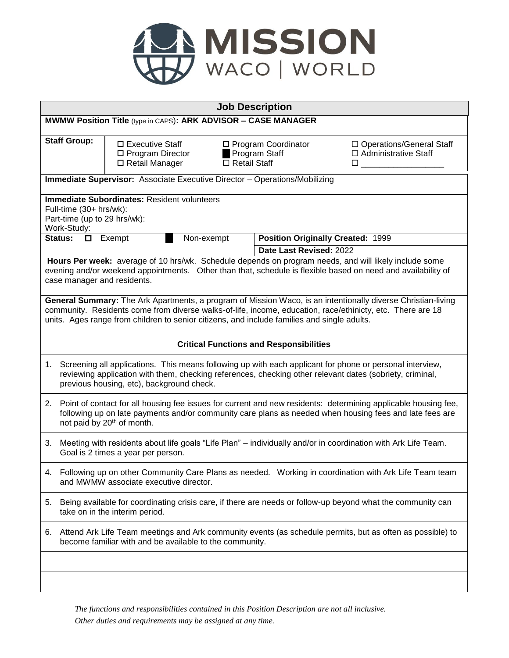

| <b>Job Description</b>                                                                                                                                                                                                                                                                                                    |                                                                          |                     |                                             |                                                      |  |
|---------------------------------------------------------------------------------------------------------------------------------------------------------------------------------------------------------------------------------------------------------------------------------------------------------------------------|--------------------------------------------------------------------------|---------------------|---------------------------------------------|------------------------------------------------------|--|
| MWMW Position Title (type in CAPS): ARK ADVISOR - CASE MANAGER                                                                                                                                                                                                                                                            |                                                                          |                     |                                             |                                                      |  |
| <b>Staff Group:</b>                                                                                                                                                                                                                                                                                                       | $\square$ Executive Staff<br>$\Box$ Program Director<br>□ Retail Manager | $\Box$ Retail Staff | $\Box$ Program Coordinator<br>Program Staff | □ Operations/General Staff<br>□ Administrative Staff |  |
| Immediate Supervisor: Associate Executive Director - Operations/Mobilizing                                                                                                                                                                                                                                                |                                                                          |                     |                                             |                                                      |  |
| Immediate Subordinates: Resident volunteers<br>Full-time (30+ hrs/wk):<br>Part-time (up to 29 hrs/wk):<br>Work-Study:                                                                                                                                                                                                     |                                                                          |                     |                                             |                                                      |  |
| Status:<br>0                                                                                                                                                                                                                                                                                                              | Exempt<br>Non-exempt                                                     |                     | Position Originally Created: 1999           |                                                      |  |
| Date Last Revised: 2022                                                                                                                                                                                                                                                                                                   |                                                                          |                     |                                             |                                                      |  |
| Hours Per week: average of 10 hrs/wk. Schedule depends on program needs, and will likely include some<br>evening and/or weekend appointments.  Other than that, schedule is flexible based on need and availability of<br>case manager and residents.                                                                     |                                                                          |                     |                                             |                                                      |  |
| General Summary: The Ark Apartments, a program of Mission Waco, is an intentionally diverse Christian-living<br>community. Residents come from diverse walks-of-life, income, education, race/ethinicty, etc. There are 18<br>units. Ages range from children to senior citizens, and include families and single adults. |                                                                          |                     |                                             |                                                      |  |
| <b>Critical Functions and Responsibilities</b>                                                                                                                                                                                                                                                                            |                                                                          |                     |                                             |                                                      |  |
| 1. Screening all applications. This means following up with each applicant for phone or personal interview,<br>reviewing application with them, checking references, checking other relevant dates (sobriety, criminal,<br>previous housing, etc), background check.                                                      |                                                                          |                     |                                             |                                                      |  |
| Point of contact for all housing fee issues for current and new residents: determining applicable housing fee,<br>2.<br>following up on late payments and/or community care plans as needed when housing fees and late fees are<br>not paid by 20 <sup>th</sup> of month.                                                 |                                                                          |                     |                                             |                                                      |  |
| Meeting with residents about life goals "Life Plan" – individually and/or in coordination with Ark Life Team.<br>3.<br>Goal is 2 times a year per person.                                                                                                                                                                 |                                                                          |                     |                                             |                                                      |  |
| Following up on other Community Care Plans as needed.  Working in coordination with Ark Life Team team<br>4.<br>and MWMW associate executive director.                                                                                                                                                                    |                                                                          |                     |                                             |                                                      |  |
| Being available for coordinating crisis care, if there are needs or follow-up beyond what the community can<br>5.<br>take on in the interim period.                                                                                                                                                                       |                                                                          |                     |                                             |                                                      |  |
| Attend Ark Life Team meetings and Ark community events (as schedule permits, but as often as possible) to<br>6.<br>become familiar with and be available to the community.                                                                                                                                                |                                                                          |                     |                                             |                                                      |  |
|                                                                                                                                                                                                                                                                                                                           |                                                                          |                     |                                             |                                                      |  |
|                                                                                                                                                                                                                                                                                                                           |                                                                          |                     |                                             |                                                      |  |

*The functions and responsibilities contained in this Position Description are not all inclusive. Other duties and requirements may be assigned at any time.*